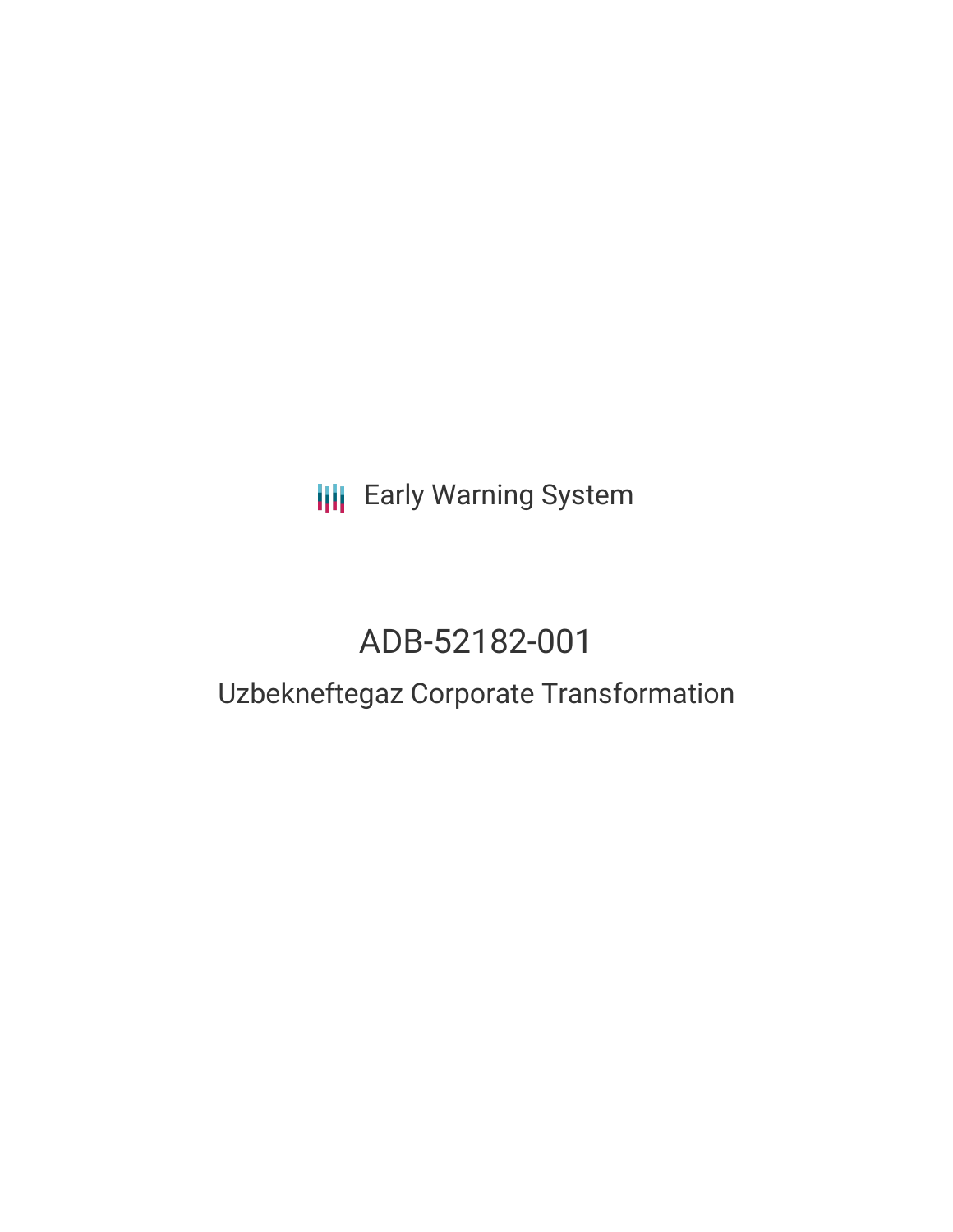**III** Early Warning System

# ADB-52182-001

## Uzbekneftegaz Corporate Transformation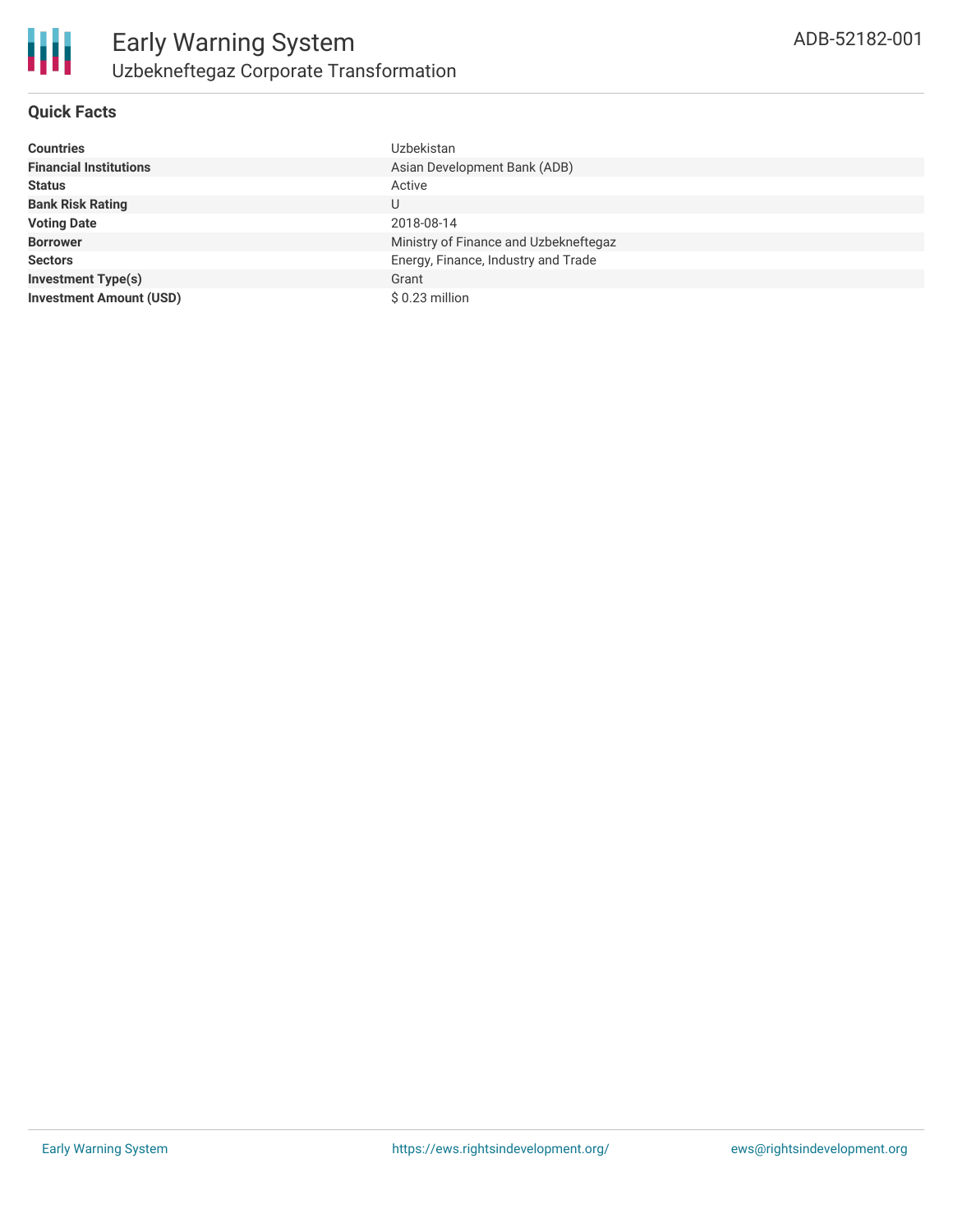

### **Quick Facts**

| Countries                      | <b>Uzbekistan</b>                     |
|--------------------------------|---------------------------------------|
| <b>Financial Institutions</b>  | Asian Development Bank (ADB)          |
| Status                         | Active                                |
| <b>Bank Risk Rating</b>        | U                                     |
| <b>Voting Date</b>             | 2018-08-14                            |
| <b>Borrower</b>                | Ministry of Finance and Uzbekneftegaz |
| Sectors                        | Energy, Finance, Industry and Trade   |
| <b>Investment Type(s)</b>      | Grant                                 |
| <b>Investment Amount (USD)</b> | \$0.23 million                        |
|                                |                                       |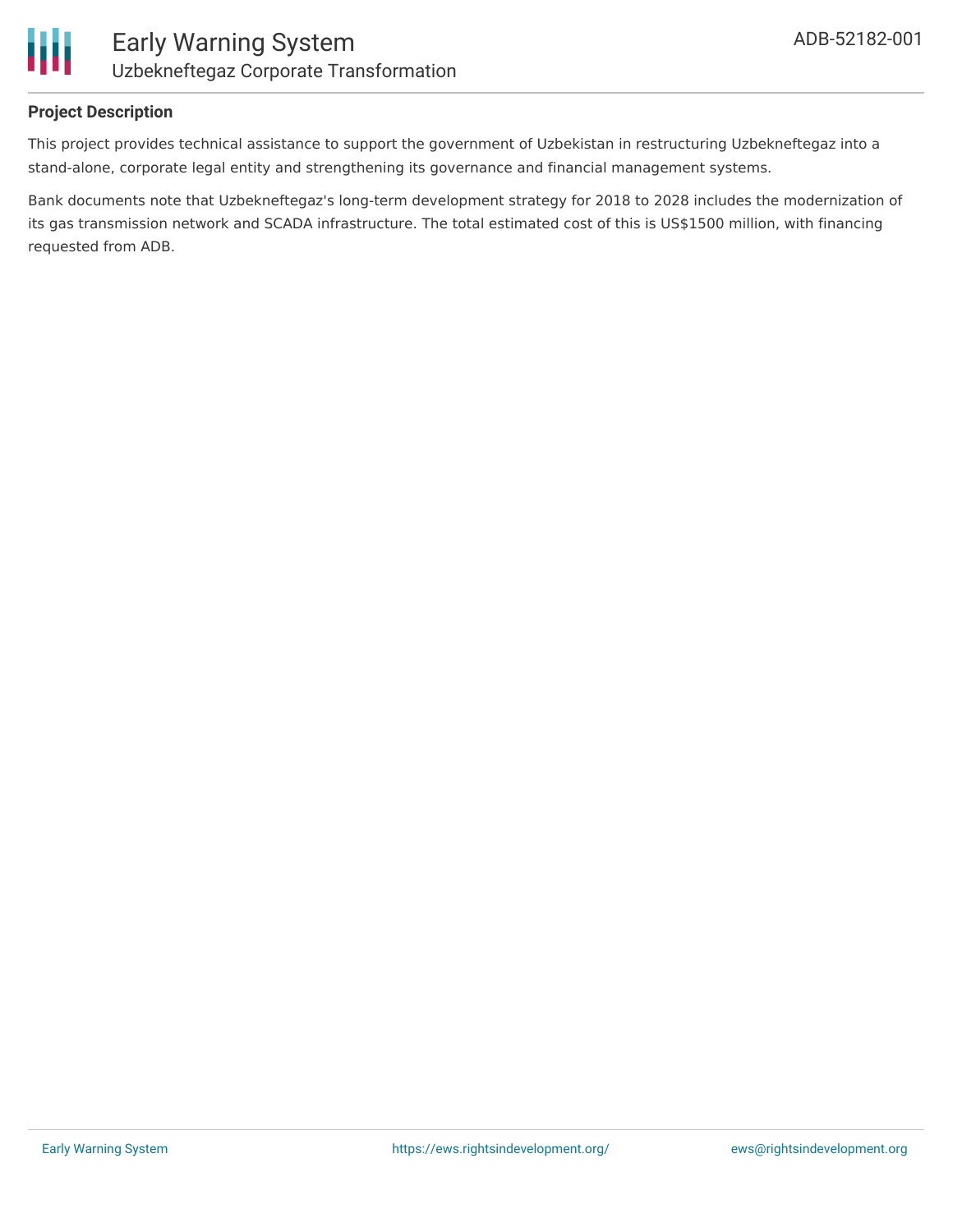

## **Project Description**

This project provides technical assistance to support the government of Uzbekistan in restructuring Uzbekneftegaz into a stand-alone, corporate legal entity and strengthening its governance and financial management systems.

Bank documents note that Uzbekneftegaz's long-term development strategy for 2018 to 2028 includes the modernization of its gas transmission network and SCADA infrastructure. The total estimated cost of this is US\$1500 million, with financing requested from ADB.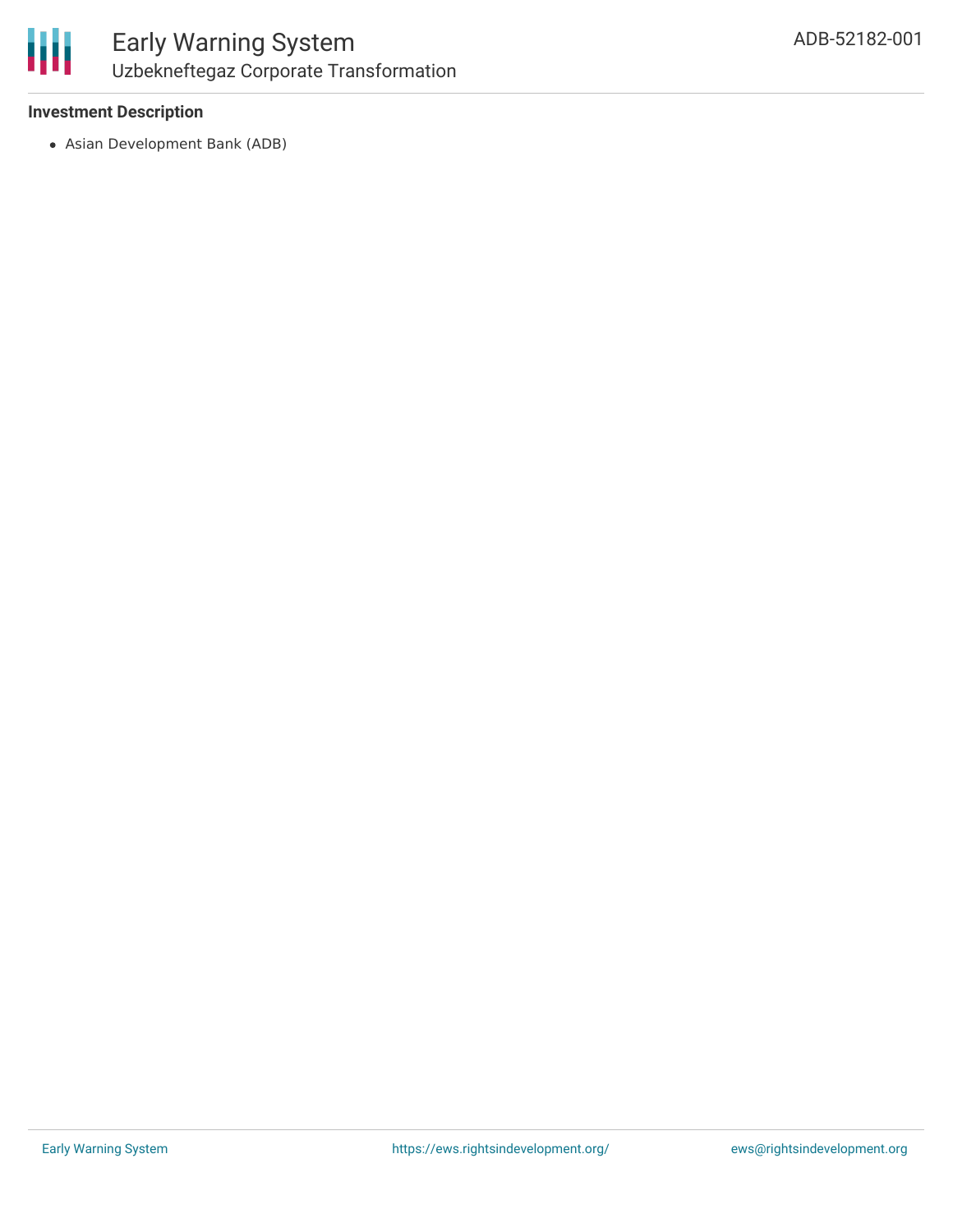

## **Investment Description**

Asian Development Bank (ADB)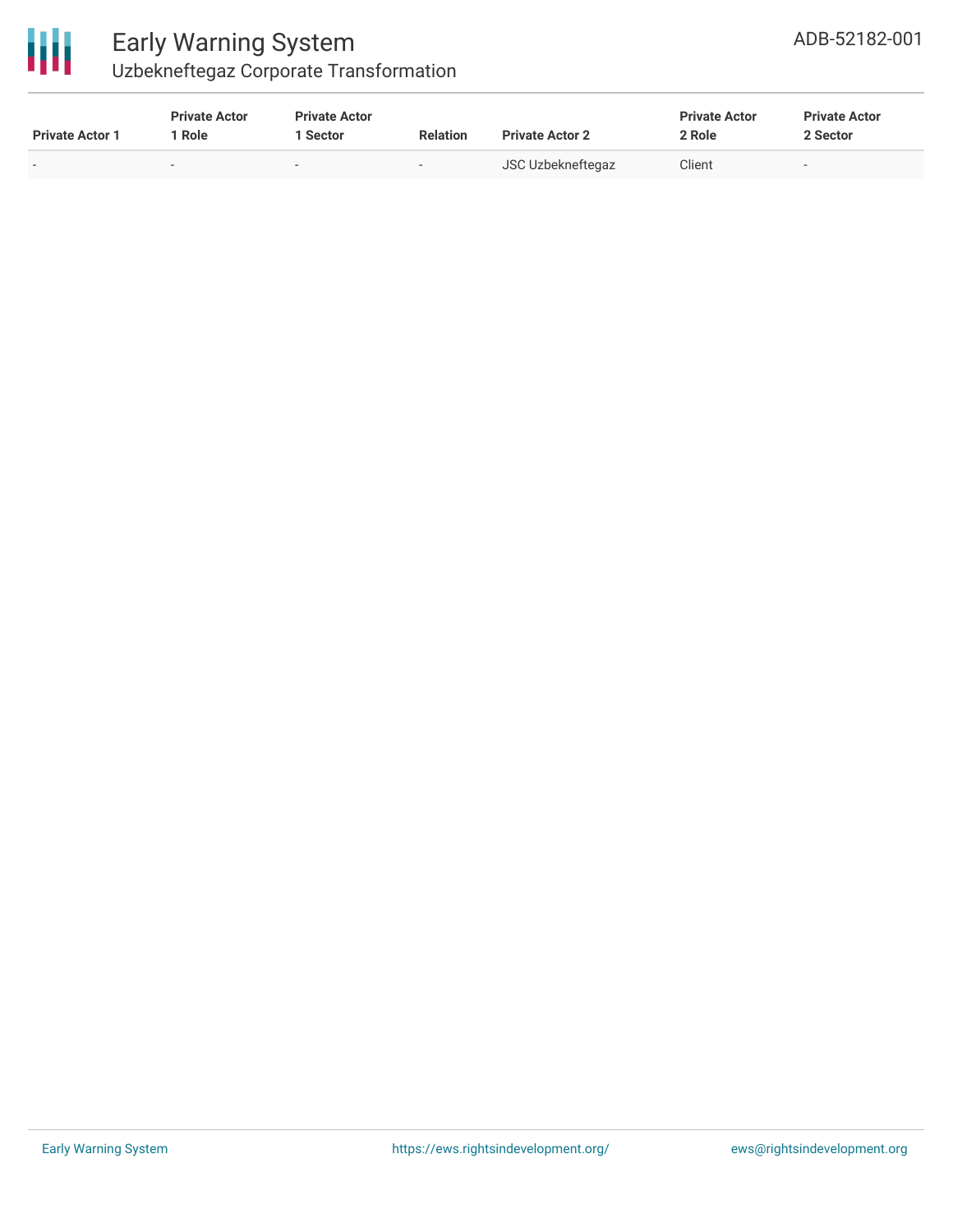

## Early Warning System Uzbekneftegaz Corporate Transformation

| <b>Private Actor 1</b> | <b>Private Actor</b><br>Role | <b>Private Actor</b><br>Sector | <b>Relation</b>          | <b>Private Actor 2</b> | <b>Private Actor</b><br>2 Role | <b>Private Actor</b><br>2 Sector |  |
|------------------------|------------------------------|--------------------------------|--------------------------|------------------------|--------------------------------|----------------------------------|--|
|                        |                              | $\overline{\phantom{0}}$       | $\overline{\phantom{0}}$ | JSC Uzbekneftegaz      | Client                         | $\sim$                           |  |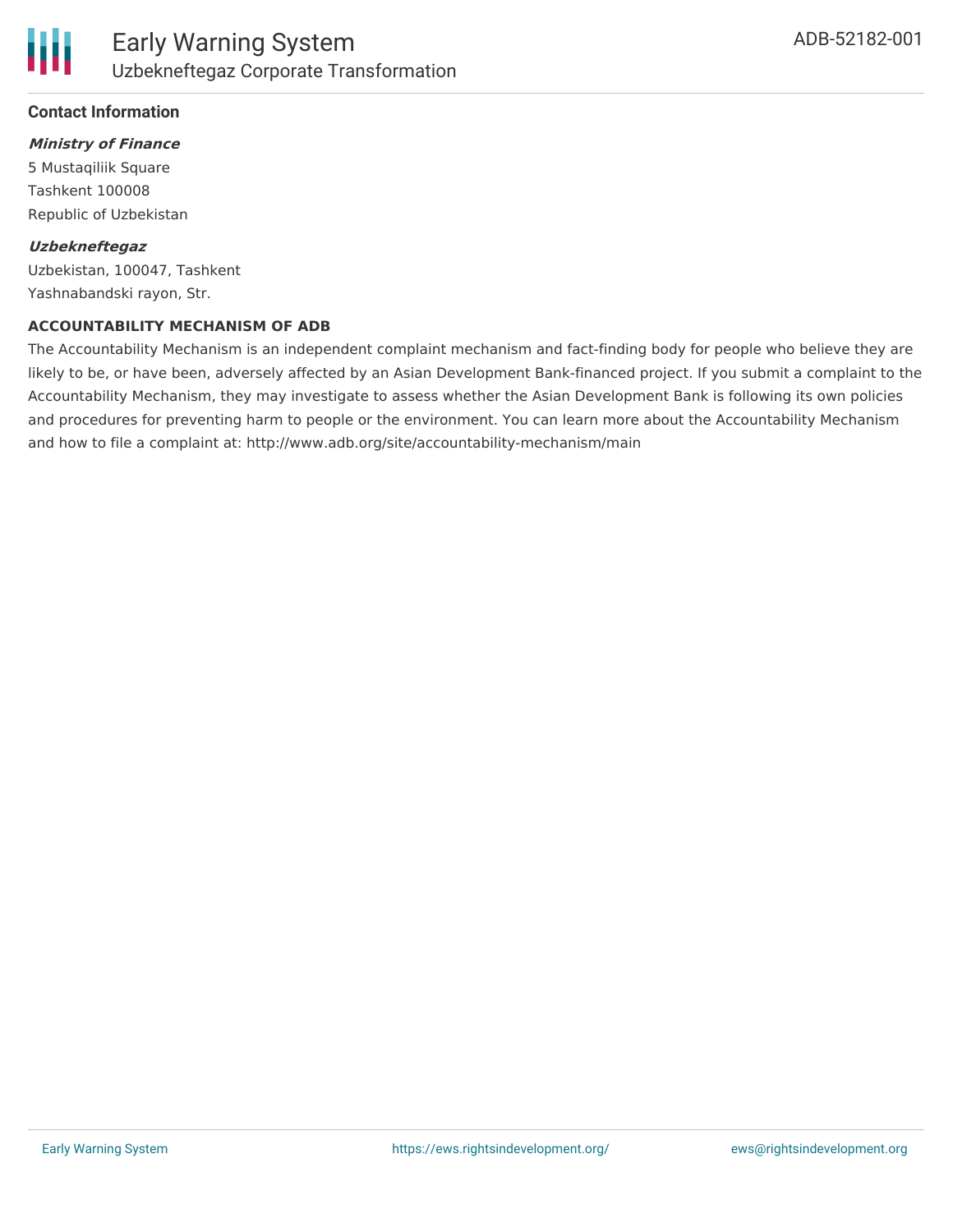## **Ministry of Finance**

5 Mustaqiliik Square Tashkent 100008 Republic of Uzbekistan

#### **Uzbekneftegaz**

Uzbekistan, 100047, Tashkent Yashnabandski rayon, Str.

#### **ACCOUNTABILITY MECHANISM OF ADB**

The Accountability Mechanism is an independent complaint mechanism and fact-finding body for people who believe they are likely to be, or have been, adversely affected by an Asian Development Bank-financed project. If you submit a complaint to the Accountability Mechanism, they may investigate to assess whether the Asian Development Bank is following its own policies and procedures for preventing harm to people or the environment. You can learn more about the Accountability Mechanism and how to file a complaint at: http://www.adb.org/site/accountability-mechanism/main